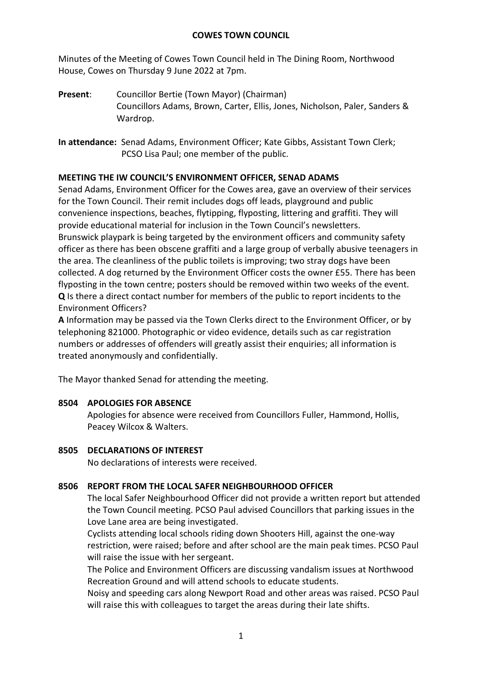### **COWES TOWN COUNCIL**

Minutes of the Meeting of Cowes Town Council held in The Dining Room, Northwood House, Cowes on Thursday 9 June 2022 at 7pm.

**Present**: Councillor Bertie (Town Mayor) (Chairman) Councillors Adams, Brown, Carter, Ellis, Jones, Nicholson, Paler, Sanders & Wardrop.

**In attendance:** Senad Adams, Environment Officer; Kate Gibbs, Assistant Town Clerk; PCSO Lisa Paul; one member of the public.

# **MEETING THE IW COUNCIL'S ENVIRONMENT OFFICER, SENAD ADAMS**

Senad Adams, Environment Officer for the Cowes area, gave an overview of their services for the Town Council. Their remit includes dogs off leads, playground and public convenience inspections, beaches, flytipping, flyposting, littering and graffiti. They will provide educational material for inclusion in the Town Council's newsletters. Brunswick playpark is being targeted by the environment officers and community safety officer as there has been obscene graffiti and a large group of verbally abusive teenagers in the area. The cleanliness of the public toilets is improving; two stray dogs have been collected. A dog returned by the Environment Officer costs the owner £55. There has been flyposting in the town centre; posters should be removed within two weeks of the event. **Q** Is there a direct contact number for members of the public to report incidents to the Environment Officers?

**A** Information may be passed via the Town Clerks direct to the Environment Officer, or by telephoning 821000. Photographic or video evidence, details such as car registration numbers or addresses of offenders will greatly assist their enquiries; all information is treated anonymously and confidentially.

The Mayor thanked Senad for attending the meeting.

### **8504 APOLOGIES FOR ABSENCE**

Apologies for absence were received from Councillors Fuller, Hammond, Hollis, Peacey Wilcox & Walters.

### **8505 DECLARATIONS OF INTEREST**

No declarations of interests were received.

# **8506 REPORT FROM THE LOCAL SAFER NEIGHBOURHOOD OFFICER**

The local Safer Neighbourhood Officer did not provide a written report but attended the Town Council meeting. PCSO Paul advised Councillors that parking issues in the Love Lane area are being investigated.

Cyclists attending local schools riding down Shooters Hill, against the one-way restriction, were raised; before and after school are the main peak times. PCSO Paul will raise the issue with her sergeant.

The Police and Environment Officers are discussing vandalism issues at Northwood Recreation Ground and will attend schools to educate students.

Noisy and speeding cars along Newport Road and other areas was raised. PCSO Paul will raise this with colleagues to target the areas during their late shifts.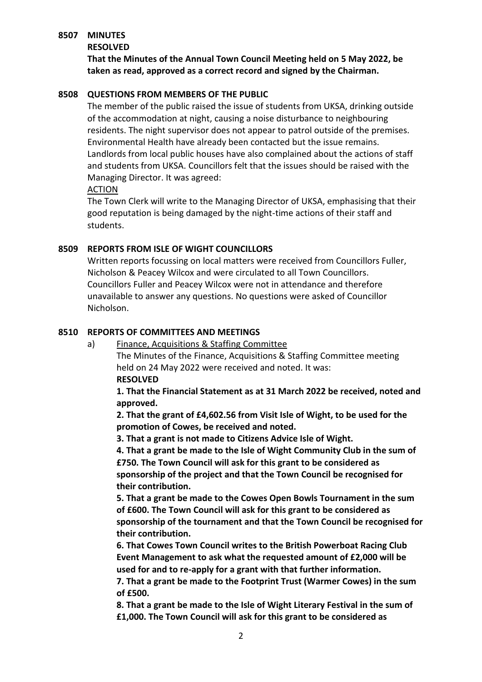### **8507 MINUTES**

#### **RESOLVED**

**That the Minutes of the Annual Town Council Meeting held on 5 May 2022, be taken as read, approved as a correct record and signed by the Chairman.**

## **8508 QUESTIONS FROM MEMBERS OF THE PUBLIC**

The member of the public raised the issue of students from UKSA, drinking outside of the accommodation at night, causing a noise disturbance to neighbouring residents. The night supervisor does not appear to patrol outside of the premises. Environmental Health have already been contacted but the issue remains. Landlords from local public houses have also complained about the actions of staff and students from UKSA. Councillors felt that the issues should be raised with the Managing Director. It was agreed:

### ACTION

The Town Clerk will write to the Managing Director of UKSA, emphasising that their good reputation is being damaged by the night-time actions of their staff and students.

# **8509 REPORTS FROM ISLE OF WIGHT COUNCILLORS**

Written reports focussing on local matters were received from Councillors Fuller, Nicholson & Peacey Wilcox and were circulated to all Town Councillors. Councillors Fuller and Peacey Wilcox were not in attendance and therefore unavailable to answer any questions. No questions were asked of Councillor Nicholson.

### **8510 REPORTS OF COMMITTEES AND MEETINGS**

a) Finance, Acquisitions & Staffing Committee

The Minutes of the Finance, Acquisitions & Staffing Committee meeting held on 24 May 2022 were received and noted. It was: **RESOLVED**

**1. That the Financial Statement as at 31 March 2022 be received, noted and approved.**

**2. That the grant of £4,602.56 from Visit Isle of Wight, to be used for the promotion of Cowes, be received and noted.**

**3. That a grant is not made to Citizens Advice Isle of Wight.**

**4. That a grant be made to the Isle of Wight Community Club in the sum of £750. The Town Council will ask for this grant to be considered as sponsorship of the project and that the Town Council be recognised for their contribution.** 

**5. That a grant be made to the Cowes Open Bowls Tournament in the sum of £600. The Town Council will ask for this grant to be considered as sponsorship of the tournament and that the Town Council be recognised for their contribution.** 

**6. That Cowes Town Council writes to the British Powerboat Racing Club Event Management to ask what the requested amount of £2,000 will be used for and to re-apply for a grant with that further information.**

**7. That a grant be made to the Footprint Trust (Warmer Cowes) in the sum of £500.**

**8. That a grant be made to the Isle of Wight Literary Festival in the sum of £1,000. The Town Council will ask for this grant to be considered as**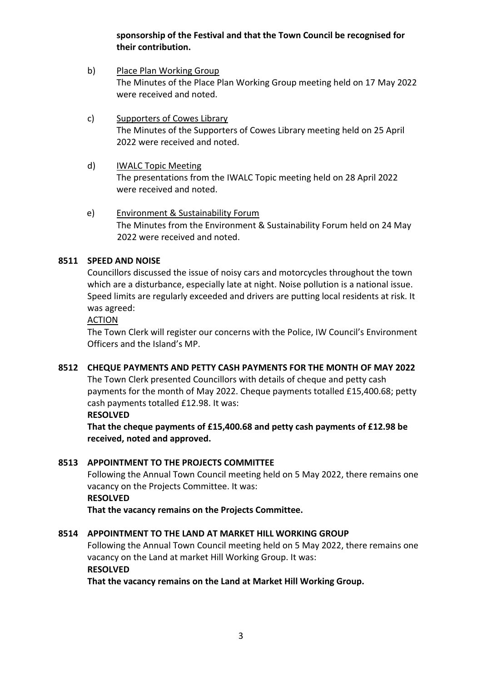# **sponsorship of the Festival and that the Town Council be recognised for their contribution.**

- b) Place Plan Working Group The Minutes of the Place Plan Working Group meeting held on 17 May 2022 were received and noted.
- c) Supporters of Cowes Library The Minutes of the Supporters of Cowes Library meeting held on 25 April 2022 were received and noted.
- d) IWALC Topic Meeting The presentations from the IWALC Topic meeting held on 28 April 2022 were received and noted.
- e) Environment & Sustainability Forum The Minutes from the Environment & Sustainability Forum held on 24 May 2022 were received and noted.

# **8511 SPEED AND NOISE**

Councillors discussed the issue of noisy cars and motorcycles throughout the town which are a disturbance, especially late at night. Noise pollution is a national issue. Speed limits are regularly exceeded and drivers are putting local residents at risk. It was agreed:

ACTION

The Town Clerk will register our concerns with the Police, IW Council's Environment Officers and the Island's MP.

# **8512 CHEQUE PAYMENTS AND PETTY CASH PAYMENTS FOR THE MONTH OF MAY 2022**

The Town Clerk presented Councillors with details of cheque and petty cash payments for the month of May 2022. Cheque payments totalled £15,400.68; petty cash payments totalled £12.98. It was:

### **RESOLVED**

**That the cheque payments of £15,400.68 and petty cash payments of £12.98 be received, noted and approved.**

# **8513 APPOINTMENT TO THE PROJECTS COMMITTEE**

Following the Annual Town Council meeting held on 5 May 2022, there remains one vacancy on the Projects Committee. It was:

### **RESOLVED**

**That the vacancy remains on the Projects Committee.**

# **8514 APPOINTMENT TO THE LAND AT MARKET HILL WORKING GROUP**

Following the Annual Town Council meeting held on 5 May 2022, there remains one vacancy on the Land at market Hill Working Group. It was:

# **RESOLVED**

**That the vacancy remains on the Land at Market Hill Working Group.**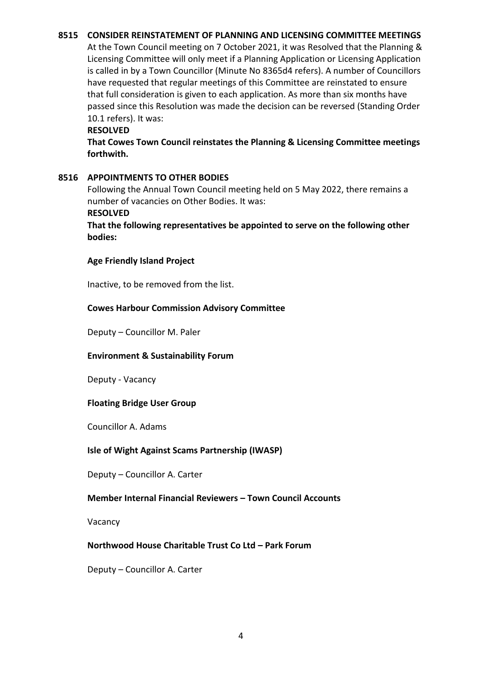### **8515 CONSIDER REINSTATEMENT OF PLANNING AND LICENSING COMMITTEE MEETINGS**

At the Town Council meeting on 7 October 2021, it was Resolved that the Planning & Licensing Committee will only meet if a Planning Application or Licensing Application is called in by a Town Councillor (Minute No 8365d4 refers). A number of Councillors have requested that regular meetings of this Committee are reinstated to ensure that full consideration is given to each application. As more than six months have passed since this Resolution was made the decision can be reversed (Standing Order 10.1 refers). It was:

#### **RESOLVED**

**That Cowes Town Council reinstates the Planning & Licensing Committee meetings forthwith.**

### **8516 APPOINTMENTS TO OTHER BODIES**

Following the Annual Town Council meeting held on 5 May 2022, there remains a number of vacancies on Other Bodies. It was:

#### **RESOLVED**

**That the following representatives be appointed to serve on the following other bodies:**

### **Age Friendly Island Project**

Inactive, to be removed from the list.

### **Cowes Harbour Commission Advisory Committee**

Deputy – Councillor M. Paler

### **Environment & Sustainability Forum**

Deputy - Vacancy

### **Floating Bridge User Group**

Councillor A. Adams

### **Isle of Wight Against Scams Partnership (IWASP)**

Deputy – Councillor A. Carter

### **Member Internal Financial Reviewers – Town Council Accounts**

Vacancy

### **Northwood House Charitable Trust Co Ltd – Park Forum**

Deputy – Councillor A. Carter